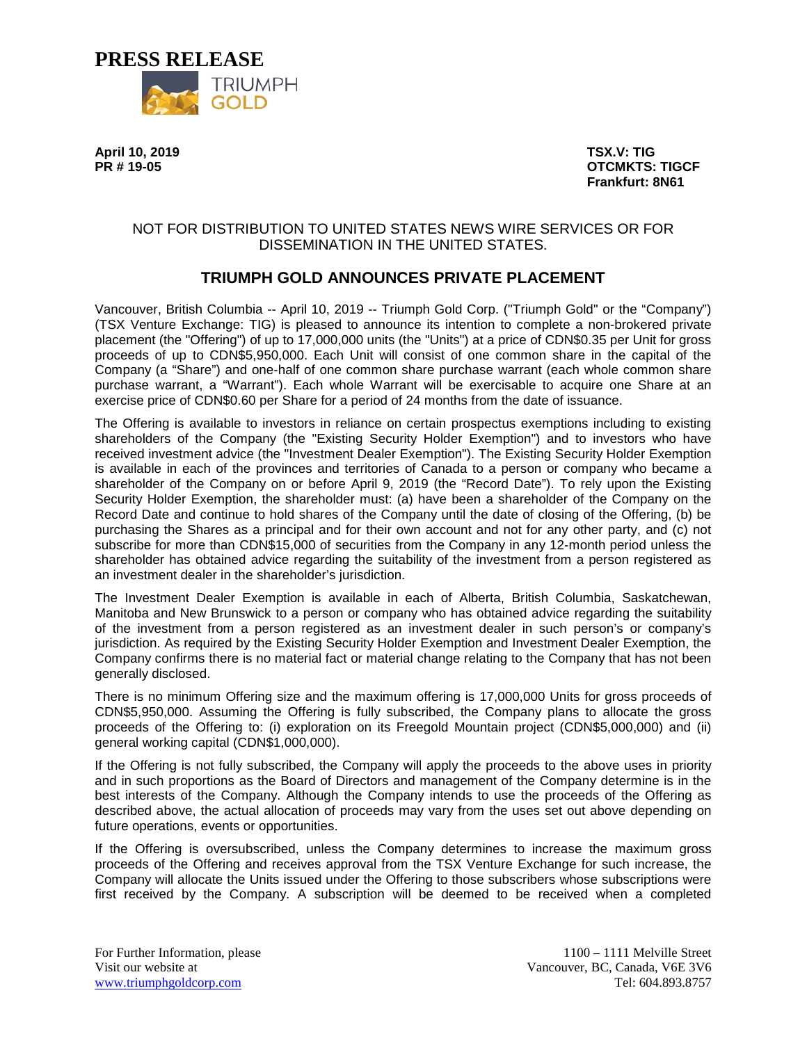

**April 10, 2019 TSX.V: TIG**

**PROTCMKTS: TIGCF Frankfurt: 8N61**

## NOT FOR DISTRIBUTION TO UNITED STATES NEWS WIRE SERVICES OR FOR DISSEMINATION IN THE UNITED STATES.

# **TRIUMPH GOLD ANNOUNCES PRIVATE PLACEMENT**

Vancouver, British Columbia -- April 10, 2019 -- Triumph Gold Corp. ("Triumph Gold" or the "Company") (TSX Venture Exchange: TIG) is pleased to announce its intention to complete a non-brokered private placement (the "Offering") of up to 17,000,000 units (the "Units") at a price of CDN\$0.35 per Unit for gross proceeds of up to CDN\$5,950,000. Each Unit will consist of one common share in the capital of the Company (a "Share") and one-half of one common share purchase warrant (each whole common share purchase warrant, a "Warrant"). Each whole Warrant will be exercisable to acquire one Share at an exercise price of CDN\$0.60 per Share for a period of 24 months from the date of issuance.

The Offering is available to investors in reliance on certain prospectus exemptions including to existing shareholders of the Company (the "Existing Security Holder Exemption") and to investors who have received investment advice (the "Investment Dealer Exemption"). The Existing Security Holder Exemption is available in each of the provinces and territories of Canada to a person or company who became a shareholder of the Company on or before April 9, 2019 (the "Record Date"). To rely upon the Existing Security Holder Exemption, the shareholder must: (a) have been a shareholder of the Company on the Record Date and continue to hold shares of the Company until the date of closing of the Offering, (b) be purchasing the Shares as a principal and for their own account and not for any other party, and (c) not subscribe for more than CDN\$15,000 of securities from the Company in any 12-month period unless the shareholder has obtained advice regarding the suitability of the investment from a person registered as an investment dealer in the shareholder's jurisdiction.

The Investment Dealer Exemption is available in each of Alberta, British Columbia, Saskatchewan, Manitoba and New Brunswick to a person or company who has obtained advice regarding the suitability of the investment from a person registered as an investment dealer in such person's or company's jurisdiction. As required by the Existing Security Holder Exemption and Investment Dealer Exemption, the Company confirms there is no material fact or material change relating to the Company that has not been generally disclosed.

There is no minimum Offering size and the maximum offering is 17,000,000 Units for gross proceeds of CDN\$5,950,000. Assuming the Offering is fully subscribed, the Company plans to allocate the gross proceeds of the Offering to: (i) exploration on its Freegold Mountain project (CDN\$5,000,000) and (ii) general working capital (CDN\$1,000,000).

If the Offering is not fully subscribed, the Company will apply the proceeds to the above uses in priority and in such proportions as the Board of Directors and management of the Company determine is in the best interests of the Company. Although the Company intends to use the proceeds of the Offering as described above, the actual allocation of proceeds may vary from the uses set out above depending on future operations, events or opportunities.

If the Offering is oversubscribed, unless the Company determines to increase the maximum gross proceeds of the Offering and receives approval from the TSX Venture Exchange for such increase, the Company will allocate the Units issued under the Offering to those subscribers whose subscriptions were first received by the Company. A subscription will be deemed to be received when a completed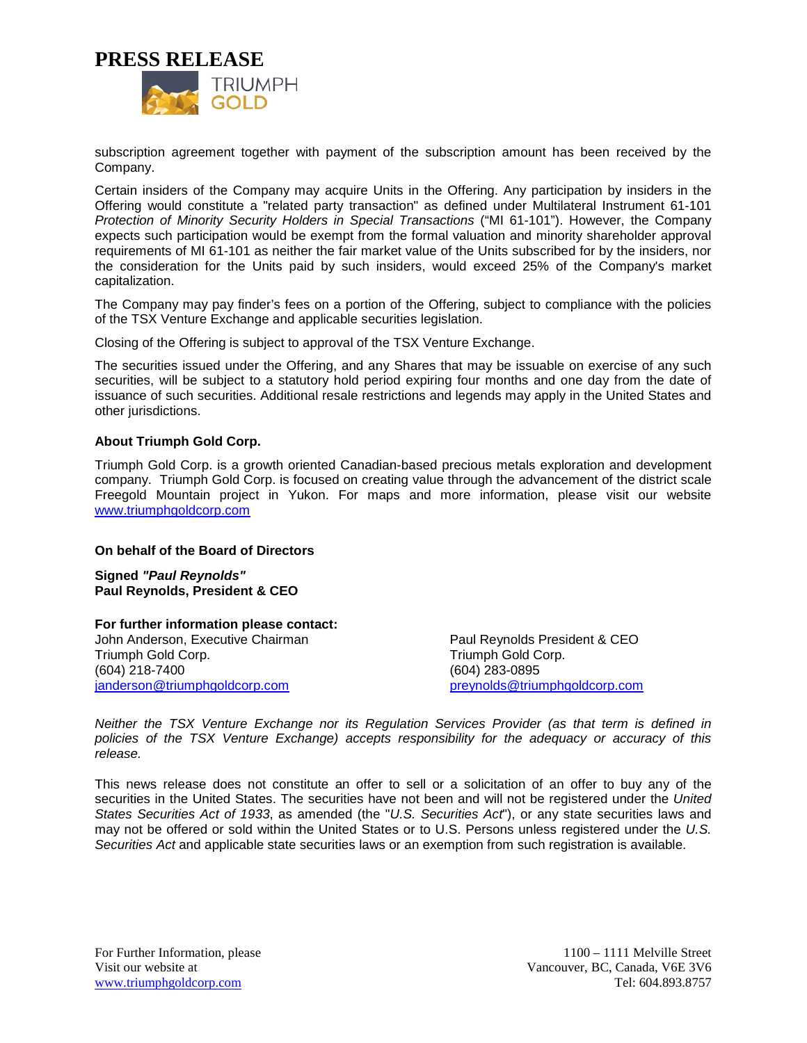**PRESS RELEASE**



subscription agreement together with payment of the subscription amount has been received by the Company.

Certain insiders of the Company may acquire Units in the Offering. Any participation by insiders in the Offering would constitute a "related party transaction" as defined under Multilateral Instrument 61-101 *Protection of Minority Security Holders in Special Transactions* ("MI 61-101"). However, the Company expects such participation would be exempt from the formal valuation and minority shareholder approval requirements of MI 61-101 as neither the fair market value of the Units subscribed for by the insiders, nor the consideration for the Units paid by such insiders, would exceed 25% of the Company's market capitalization.

The Company may pay finder's fees on a portion of the Offering, subject to compliance with the policies of the TSX Venture Exchange and applicable securities legislation.

Closing of the Offering is subject to approval of the TSX Venture Exchange.

The securities issued under the Offering, and any Shares that may be issuable on exercise of any such securities, will be subject to a statutory hold period expiring four months and one day from the date of issuance of such securities. Additional resale restrictions and legends may apply in the United States and other jurisdictions.

#### **About Triumph Gold Corp.**

Triumph Gold Corp. is a growth oriented Canadian-based precious metals exploration and development company. Triumph Gold Corp. is focused on creating value through the advancement of the district scale Freegold Mountain project in Yukon. For maps and more information, please visit our website [www.triumphgoldcorp.com](http://www.triumphgoldcorp.com/)

#### **On behalf of the Board of Directors**

**Signed** *"Paul Reynolds"* **Paul Reynolds, President & CEO**

#### **For further information please contact:**

John Anderson, Executive Chairman Triumph Gold Corp. (604) 218-7400 [janderson@triumphgoldcorp.com](mailto:janderson@triumphgoldcorp.com)

Paul Reynolds President & CEO Triumph Gold Corp. (604) 283-0895 [preynolds@triumphgoldcorp.com](mailto:preynolds@triumphgoldcorp.com)

*Neither the TSX Venture Exchange nor its Regulation Services Provider (as that term is defined in policies of the TSX Venture Exchange) accepts responsibility for the adequacy or accuracy of this release.*

This news release does not constitute an offer to sell or a solicitation of an offer to buy any of the securities in the United States. The securities have not been and will not be registered under the *United States Securities Act of 1933*, as amended (the "*U.S. Securities Act*"), or any state securities laws and may not be offered or sold within the United States or to U.S. Persons unless registered under the *U.S. Securities Act* and applicable state securities laws or an exemption from such registration is available.